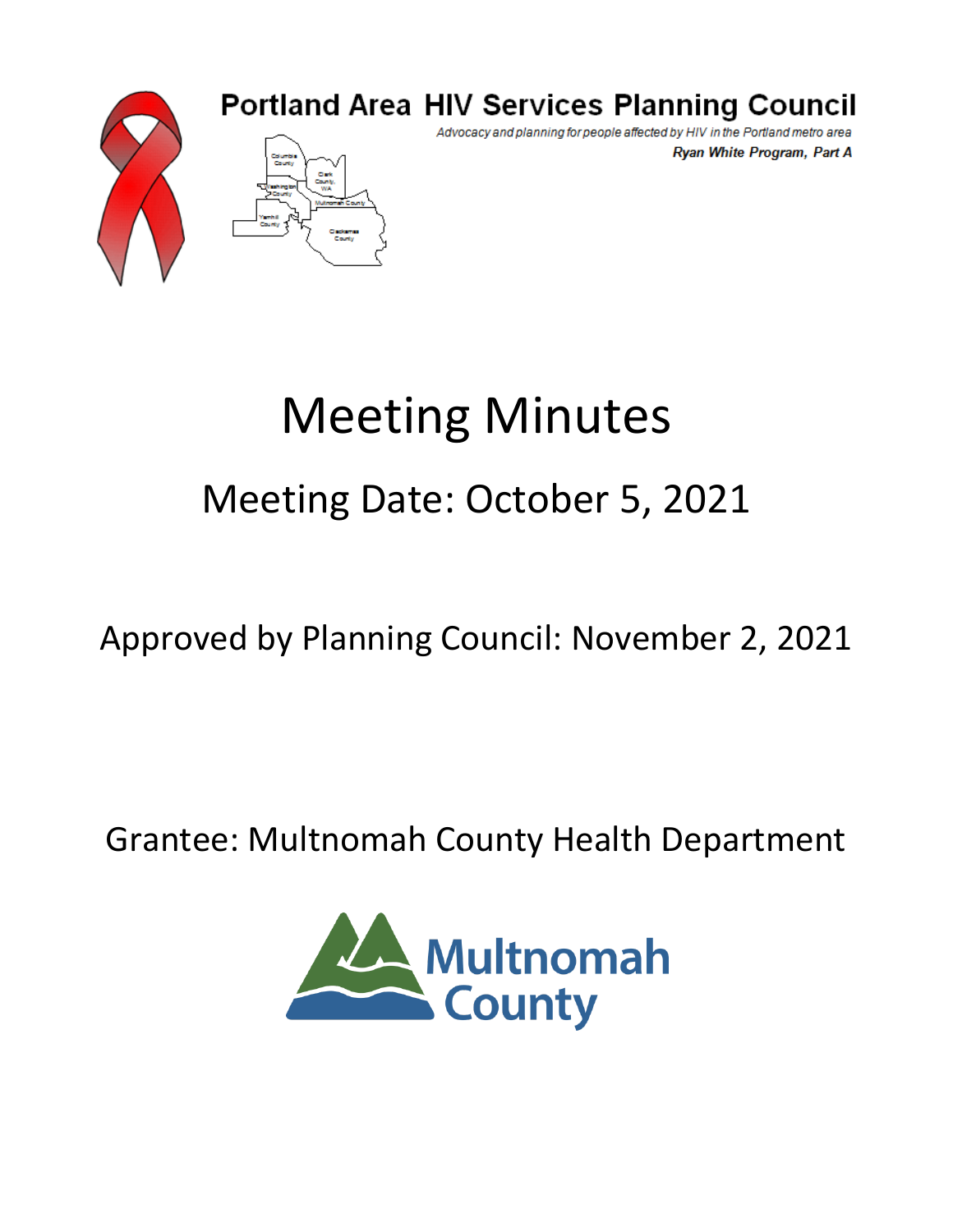

### **Portland Area HIV Services Planning Council**

Advocacy and planning for people affected by HIV in the Portland metro area Ryan White Program, Part A

# Meeting Minutes Meeting Date: October 5, 2021

## Approved by Planning Council: November 2, 2021

### Grantee: Multnomah County Health Department

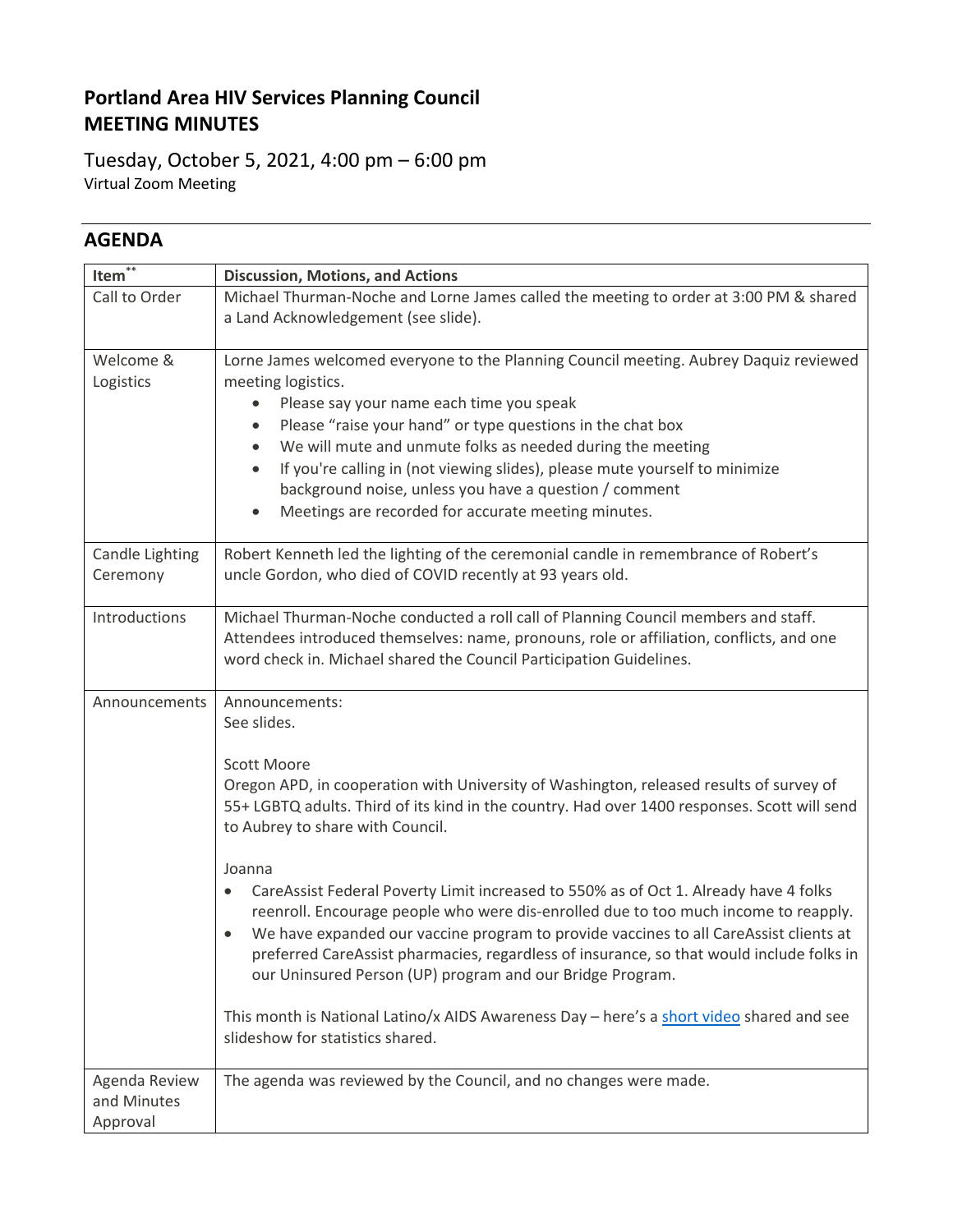#### **Portland Area HIV Services Planning Council MEETING MINUTES**

Tuesday, October 5, 2021, 4:00 pm – 6:00 pm Virtual Zoom Meeting

#### **AGENDA**

| $***$<br>Item <sup>®</sup>               | <b>Discussion, Motions, and Actions</b>                                                                                                                                                                                                                                                                                                                                                                                                                                                                                                                                                                                                                                                                                                                                                                                                                       |  |  |  |  |  |
|------------------------------------------|---------------------------------------------------------------------------------------------------------------------------------------------------------------------------------------------------------------------------------------------------------------------------------------------------------------------------------------------------------------------------------------------------------------------------------------------------------------------------------------------------------------------------------------------------------------------------------------------------------------------------------------------------------------------------------------------------------------------------------------------------------------------------------------------------------------------------------------------------------------|--|--|--|--|--|
| Call to Order                            | Michael Thurman-Noche and Lorne James called the meeting to order at 3:00 PM & shared<br>a Land Acknowledgement (see slide).                                                                                                                                                                                                                                                                                                                                                                                                                                                                                                                                                                                                                                                                                                                                  |  |  |  |  |  |
| Welcome &<br>Logistics                   | Lorne James welcomed everyone to the Planning Council meeting. Aubrey Daquiz reviewed<br>meeting logistics.<br>Please say your name each time you speak<br>٠<br>Please "raise your hand" or type questions in the chat box<br>٠<br>We will mute and unmute folks as needed during the meeting<br>٠<br>If you're calling in (not viewing slides), please mute yourself to minimize<br>$\bullet$<br>background noise, unless you have a question / comment<br>Meetings are recorded for accurate meeting minutes.<br>$\bullet$                                                                                                                                                                                                                                                                                                                                  |  |  |  |  |  |
| Candle Lighting<br>Ceremony              | Robert Kenneth led the lighting of the ceremonial candle in remembrance of Robert's<br>uncle Gordon, who died of COVID recently at 93 years old.                                                                                                                                                                                                                                                                                                                                                                                                                                                                                                                                                                                                                                                                                                              |  |  |  |  |  |
| Introductions                            | Michael Thurman-Noche conducted a roll call of Planning Council members and staff.<br>Attendees introduced themselves: name, pronouns, role or affiliation, conflicts, and one<br>word check in. Michael shared the Council Participation Guidelines.                                                                                                                                                                                                                                                                                                                                                                                                                                                                                                                                                                                                         |  |  |  |  |  |
| Announcements                            | Announcements:<br>See slides.<br><b>Scott Moore</b><br>Oregon APD, in cooperation with University of Washington, released results of survey of<br>55+ LGBTQ adults. Third of its kind in the country. Had over 1400 responses. Scott will send<br>to Aubrey to share with Council.<br>Joanna<br>CareAssist Federal Poverty Limit increased to 550% as of Oct 1. Already have 4 folks<br>reenroll. Encourage people who were dis-enrolled due to too much income to reapply.<br>We have expanded our vaccine program to provide vaccines to all CareAssist clients at<br>preferred CareAssist pharmacies, regardless of insurance, so that would include folks in<br>our Uninsured Person (UP) program and our Bridge Program.<br>This month is National Latino/x AIDS Awareness Day - here's a short video shared and see<br>slideshow for statistics shared. |  |  |  |  |  |
| Agenda Review<br>and Minutes<br>Approval | The agenda was reviewed by the Council, and no changes were made.                                                                                                                                                                                                                                                                                                                                                                                                                                                                                                                                                                                                                                                                                                                                                                                             |  |  |  |  |  |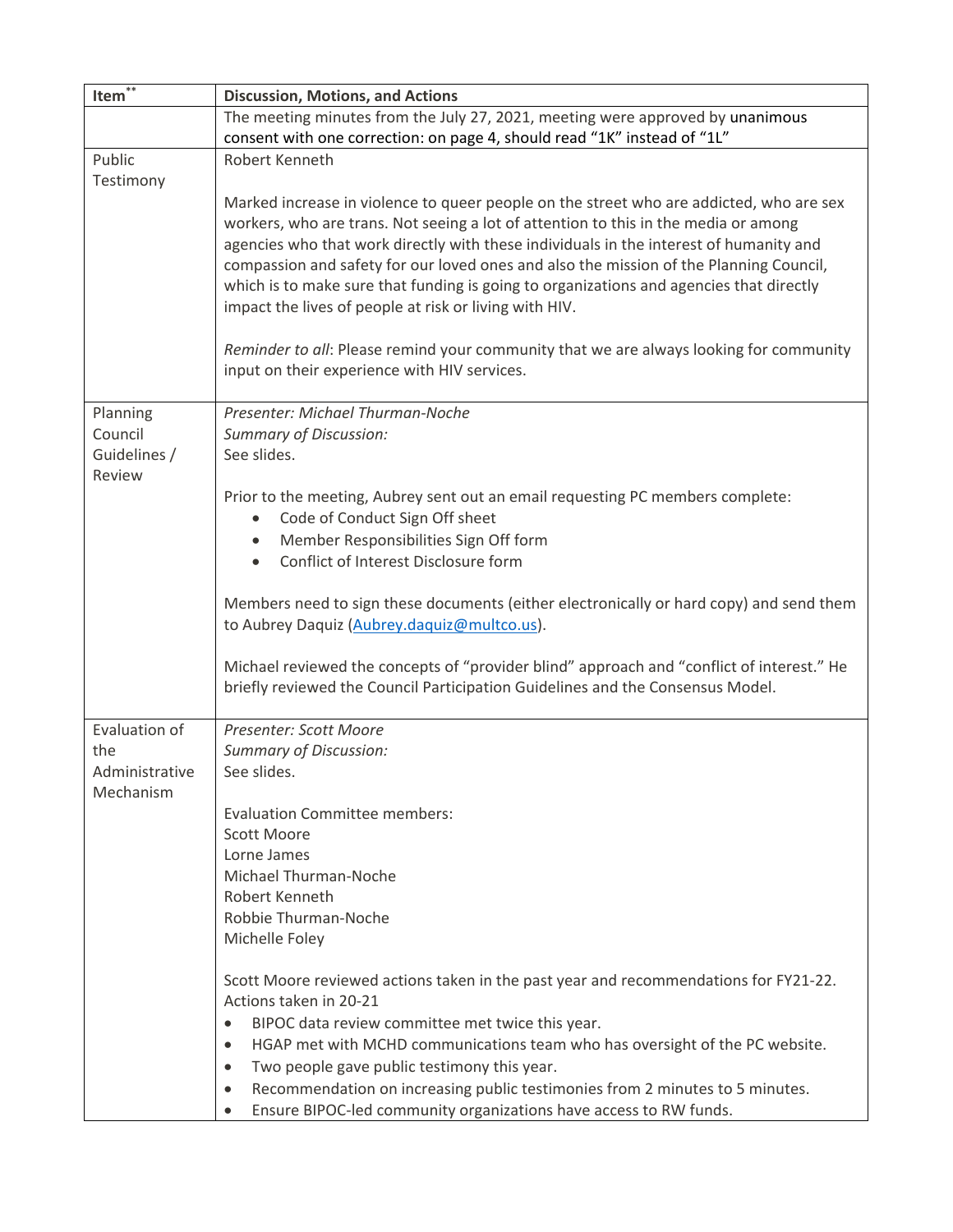| Item $\overline{\mathbf{r}^*}$ | <b>Discussion, Motions, and Actions</b>                                                   |  |  |  |  |  |  |  |
|--------------------------------|-------------------------------------------------------------------------------------------|--|--|--|--|--|--|--|
|                                | The meeting minutes from the July 27, 2021, meeting were approved by unanimous            |  |  |  |  |  |  |  |
|                                | consent with one correction: on page 4, should read "1K" instead of "1L"                  |  |  |  |  |  |  |  |
| Public                         | Robert Kenneth                                                                            |  |  |  |  |  |  |  |
| Testimony                      |                                                                                           |  |  |  |  |  |  |  |
|                                | Marked increase in violence to queer people on the street who are addicted, who are sex   |  |  |  |  |  |  |  |
|                                | workers, who are trans. Not seeing a lot of attention to this in the media or among       |  |  |  |  |  |  |  |
|                                | agencies who that work directly with these individuals in the interest of humanity and    |  |  |  |  |  |  |  |
|                                | compassion and safety for our loved ones and also the mission of the Planning Council,    |  |  |  |  |  |  |  |
|                                | which is to make sure that funding is going to organizations and agencies that directly   |  |  |  |  |  |  |  |
|                                | impact the lives of people at risk or living with HIV.                                    |  |  |  |  |  |  |  |
|                                |                                                                                           |  |  |  |  |  |  |  |
|                                | Reminder to all: Please remind your community that we are always looking for community    |  |  |  |  |  |  |  |
|                                | input on their experience with HIV services.                                              |  |  |  |  |  |  |  |
|                                |                                                                                           |  |  |  |  |  |  |  |
| Planning                       | Presenter: Michael Thurman-Noche                                                          |  |  |  |  |  |  |  |
| Council                        | <b>Summary of Discussion:</b>                                                             |  |  |  |  |  |  |  |
| Guidelines /                   | See slides.                                                                               |  |  |  |  |  |  |  |
| Review                         |                                                                                           |  |  |  |  |  |  |  |
|                                | Prior to the meeting, Aubrey sent out an email requesting PC members complete:            |  |  |  |  |  |  |  |
|                                | Code of Conduct Sign Off sheet<br>$\bullet$                                               |  |  |  |  |  |  |  |
|                                | Member Responsibilities Sign Off form                                                     |  |  |  |  |  |  |  |
|                                | Conflict of Interest Disclosure form<br>$\bullet$                                         |  |  |  |  |  |  |  |
|                                |                                                                                           |  |  |  |  |  |  |  |
|                                | Members need to sign these documents (either electronically or hard copy) and send them   |  |  |  |  |  |  |  |
|                                | to Aubrey Daquiz (Aubrey.daquiz@multco.us).                                               |  |  |  |  |  |  |  |
|                                |                                                                                           |  |  |  |  |  |  |  |
|                                | Michael reviewed the concepts of "provider blind" approach and "conflict of interest." He |  |  |  |  |  |  |  |
|                                | briefly reviewed the Council Participation Guidelines and the Consensus Model.            |  |  |  |  |  |  |  |
|                                |                                                                                           |  |  |  |  |  |  |  |
| Evaluation of                  | Presenter: Scott Moore                                                                    |  |  |  |  |  |  |  |
| the                            | <b>Summary of Discussion:</b>                                                             |  |  |  |  |  |  |  |
| Administrative                 | See slides.                                                                               |  |  |  |  |  |  |  |
| Mechanism                      |                                                                                           |  |  |  |  |  |  |  |
|                                | <b>Evaluation Committee members:</b>                                                      |  |  |  |  |  |  |  |
|                                | Scott Moore                                                                               |  |  |  |  |  |  |  |
|                                | Lorne James                                                                               |  |  |  |  |  |  |  |
|                                | Michael Thurman-Noche                                                                     |  |  |  |  |  |  |  |
|                                | Robert Kenneth                                                                            |  |  |  |  |  |  |  |
|                                | Robbie Thurman-Noche                                                                      |  |  |  |  |  |  |  |
|                                | Michelle Foley                                                                            |  |  |  |  |  |  |  |
|                                |                                                                                           |  |  |  |  |  |  |  |
|                                | Scott Moore reviewed actions taken in the past year and recommendations for FY21-22.      |  |  |  |  |  |  |  |
|                                | Actions taken in 20-21                                                                    |  |  |  |  |  |  |  |
|                                | BIPOC data review committee met twice this year.<br>$\bullet$                             |  |  |  |  |  |  |  |
|                                | HGAP met with MCHD communications team who has oversight of the PC website.<br>٠          |  |  |  |  |  |  |  |
|                                | Two people gave public testimony this year.<br>٠                                          |  |  |  |  |  |  |  |
|                                | Recommendation on increasing public testimonies from 2 minutes to 5 minutes.<br>$\bullet$ |  |  |  |  |  |  |  |
|                                | Ensure BIPOC-led community organizations have access to RW funds.<br>$\bullet$            |  |  |  |  |  |  |  |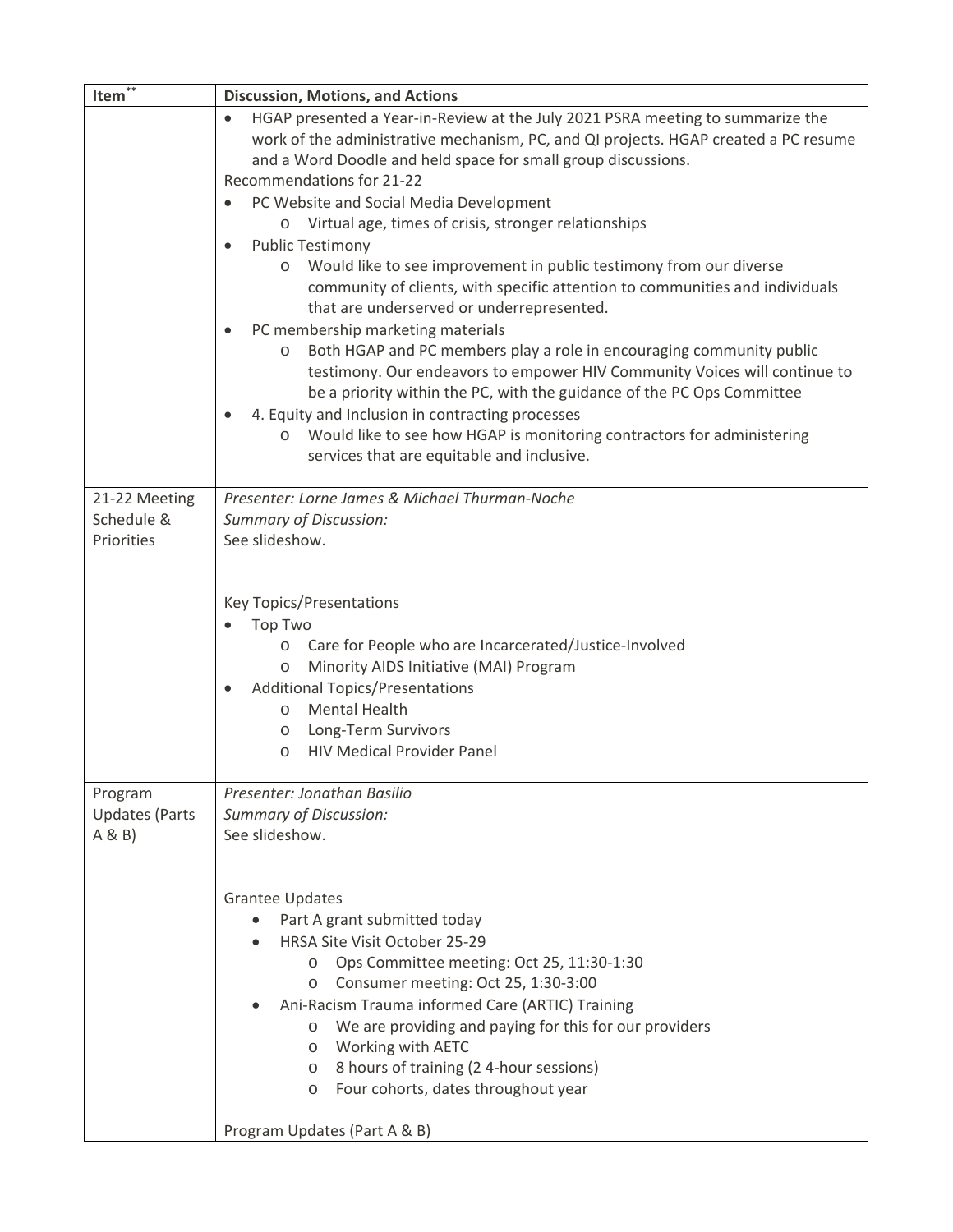| Item <sup>**</sup>             | <b>Discussion, Motions, and Actions</b>                                                                                                                                                                                                                                                                                                                                                                                                                                                                                                                                                                                                                                                                                                                                                                                                                                                                                                                                                                                                                                                                                                                  |  |  |  |  |  |
|--------------------------------|----------------------------------------------------------------------------------------------------------------------------------------------------------------------------------------------------------------------------------------------------------------------------------------------------------------------------------------------------------------------------------------------------------------------------------------------------------------------------------------------------------------------------------------------------------------------------------------------------------------------------------------------------------------------------------------------------------------------------------------------------------------------------------------------------------------------------------------------------------------------------------------------------------------------------------------------------------------------------------------------------------------------------------------------------------------------------------------------------------------------------------------------------------|--|--|--|--|--|
|                                | HGAP presented a Year-in-Review at the July 2021 PSRA meeting to summarize the<br>$\bullet$<br>work of the administrative mechanism, PC, and QI projects. HGAP created a PC resume<br>and a Word Doodle and held space for small group discussions.<br>Recommendations for 21-22<br>PC Website and Social Media Development<br>$\bullet$<br>o Virtual age, times of crisis, stronger relationships<br><b>Public Testimony</b><br>$\bullet$<br>Would like to see improvement in public testimony from our diverse<br>$\circ$<br>community of clients, with specific attention to communities and individuals<br>that are underserved or underrepresented.<br>PC membership marketing materials<br>$\bullet$<br>Both HGAP and PC members play a role in encouraging community public<br>$\circ$<br>testimony. Our endeavors to empower HIV Community Voices will continue to<br>be a priority within the PC, with the guidance of the PC Ops Committee<br>4. Equity and Inclusion in contracting processes<br>$\bullet$<br>Would like to see how HGAP is monitoring contractors for administering<br>$\circ$<br>services that are equitable and inclusive. |  |  |  |  |  |
| 21-22 Meeting                  | Presenter: Lorne James & Michael Thurman-Noche                                                                                                                                                                                                                                                                                                                                                                                                                                                                                                                                                                                                                                                                                                                                                                                                                                                                                                                                                                                                                                                                                                           |  |  |  |  |  |
| Schedule &                     | <b>Summary of Discussion:</b>                                                                                                                                                                                                                                                                                                                                                                                                                                                                                                                                                                                                                                                                                                                                                                                                                                                                                                                                                                                                                                                                                                                            |  |  |  |  |  |
| Priorities                     | See slideshow.<br><b>Key Topics/Presentations</b>                                                                                                                                                                                                                                                                                                                                                                                                                                                                                                                                                                                                                                                                                                                                                                                                                                                                                                                                                                                                                                                                                                        |  |  |  |  |  |
|                                | <b>Top Two</b>                                                                                                                                                                                                                                                                                                                                                                                                                                                                                                                                                                                                                                                                                                                                                                                                                                                                                                                                                                                                                                                                                                                                           |  |  |  |  |  |
|                                | Care for People who are Incarcerated/Justice-Involved<br>$\circ$                                                                                                                                                                                                                                                                                                                                                                                                                                                                                                                                                                                                                                                                                                                                                                                                                                                                                                                                                                                                                                                                                         |  |  |  |  |  |
|                                | Minority AIDS Initiative (MAI) Program<br>$\circ$                                                                                                                                                                                                                                                                                                                                                                                                                                                                                                                                                                                                                                                                                                                                                                                                                                                                                                                                                                                                                                                                                                        |  |  |  |  |  |
|                                | <b>Additional Topics/Presentations</b><br>$\bullet$                                                                                                                                                                                                                                                                                                                                                                                                                                                                                                                                                                                                                                                                                                                                                                                                                                                                                                                                                                                                                                                                                                      |  |  |  |  |  |
|                                | <b>Mental Health</b><br>$\circ$<br>o Long-Term Survivors                                                                                                                                                                                                                                                                                                                                                                                                                                                                                                                                                                                                                                                                                                                                                                                                                                                                                                                                                                                                                                                                                                 |  |  |  |  |  |
|                                | <b>HIV Medical Provider Panel</b><br>$\circ$                                                                                                                                                                                                                                                                                                                                                                                                                                                                                                                                                                                                                                                                                                                                                                                                                                                                                                                                                                                                                                                                                                             |  |  |  |  |  |
|                                |                                                                                                                                                                                                                                                                                                                                                                                                                                                                                                                                                                                                                                                                                                                                                                                                                                                                                                                                                                                                                                                                                                                                                          |  |  |  |  |  |
| Program                        | Presenter: Jonathan Basilio                                                                                                                                                                                                                                                                                                                                                                                                                                                                                                                                                                                                                                                                                                                                                                                                                                                                                                                                                                                                                                                                                                                              |  |  |  |  |  |
| <b>Updates (Parts</b><br>A & B | <b>Summary of Discussion:</b><br>See slideshow.                                                                                                                                                                                                                                                                                                                                                                                                                                                                                                                                                                                                                                                                                                                                                                                                                                                                                                                                                                                                                                                                                                          |  |  |  |  |  |
|                                |                                                                                                                                                                                                                                                                                                                                                                                                                                                                                                                                                                                                                                                                                                                                                                                                                                                                                                                                                                                                                                                                                                                                                          |  |  |  |  |  |
|                                |                                                                                                                                                                                                                                                                                                                                                                                                                                                                                                                                                                                                                                                                                                                                                                                                                                                                                                                                                                                                                                                                                                                                                          |  |  |  |  |  |
|                                | <b>Grantee Updates</b>                                                                                                                                                                                                                                                                                                                                                                                                                                                                                                                                                                                                                                                                                                                                                                                                                                                                                                                                                                                                                                                                                                                                   |  |  |  |  |  |
|                                | Part A grant submitted today<br>HRSA Site Visit October 25-29                                                                                                                                                                                                                                                                                                                                                                                                                                                                                                                                                                                                                                                                                                                                                                                                                                                                                                                                                                                                                                                                                            |  |  |  |  |  |
|                                | Ops Committee meeting: Oct 25, 11:30-1:30<br>$\circ$                                                                                                                                                                                                                                                                                                                                                                                                                                                                                                                                                                                                                                                                                                                                                                                                                                                                                                                                                                                                                                                                                                     |  |  |  |  |  |
|                                | Consumer meeting: Oct 25, 1:30-3:00<br>$\circ$                                                                                                                                                                                                                                                                                                                                                                                                                                                                                                                                                                                                                                                                                                                                                                                                                                                                                                                                                                                                                                                                                                           |  |  |  |  |  |
|                                | Ani-Racism Trauma informed Care (ARTIC) Training                                                                                                                                                                                                                                                                                                                                                                                                                                                                                                                                                                                                                                                                                                                                                                                                                                                                                                                                                                                                                                                                                                         |  |  |  |  |  |
|                                | We are providing and paying for this for our providers<br>$\circ$<br>Working with AETC<br>$\circ$                                                                                                                                                                                                                                                                                                                                                                                                                                                                                                                                                                                                                                                                                                                                                                                                                                                                                                                                                                                                                                                        |  |  |  |  |  |
|                                | 8 hours of training (24-hour sessions)<br>$\circ$                                                                                                                                                                                                                                                                                                                                                                                                                                                                                                                                                                                                                                                                                                                                                                                                                                                                                                                                                                                                                                                                                                        |  |  |  |  |  |
|                                | Four cohorts, dates throughout year<br>$\circ$                                                                                                                                                                                                                                                                                                                                                                                                                                                                                                                                                                                                                                                                                                                                                                                                                                                                                                                                                                                                                                                                                                           |  |  |  |  |  |
|                                | Program Updates (Part A & B)                                                                                                                                                                                                                                                                                                                                                                                                                                                                                                                                                                                                                                                                                                                                                                                                                                                                                                                                                                                                                                                                                                                             |  |  |  |  |  |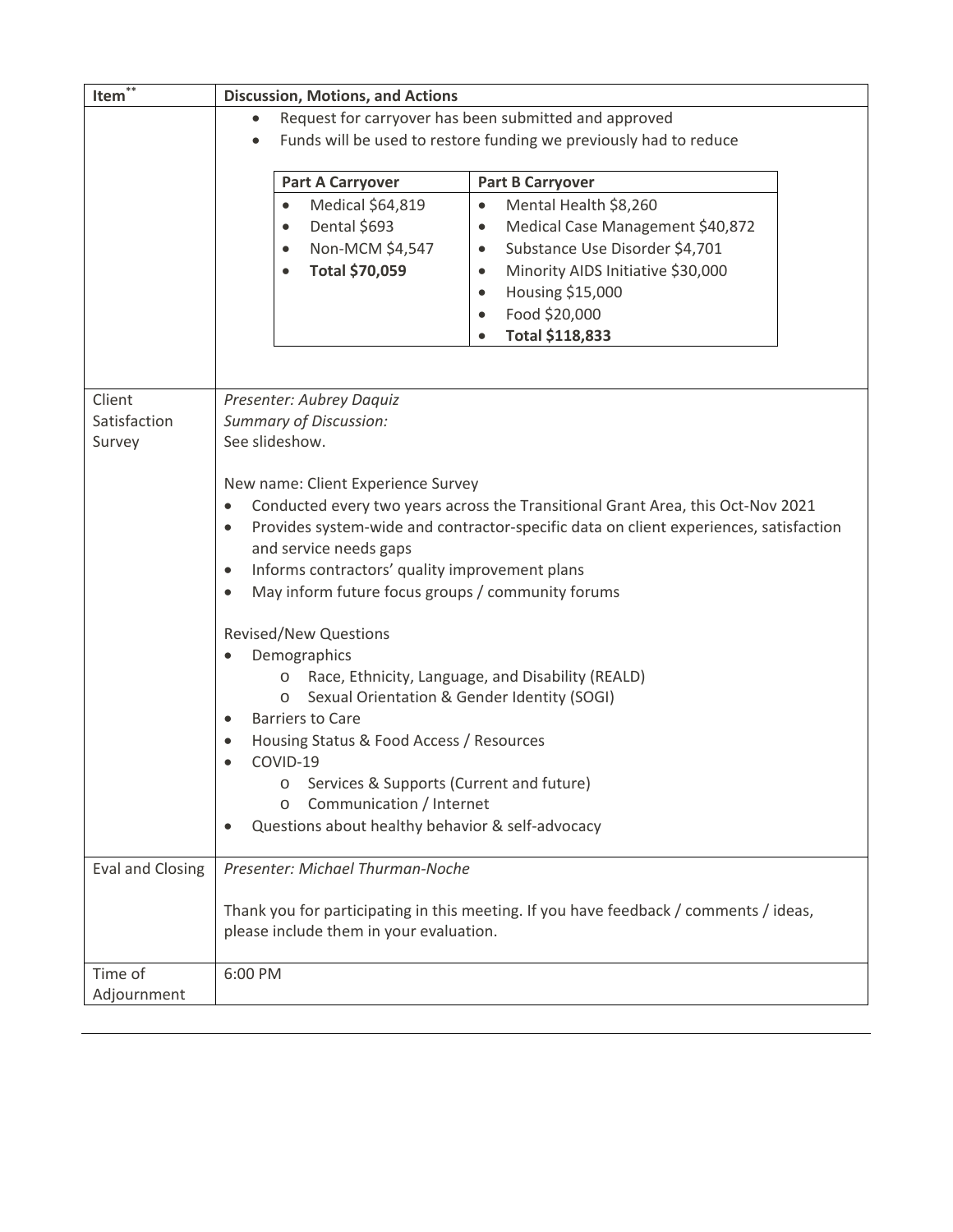| Item <sup>**</sup>      | <b>Discussion, Motions, and Actions</b>                                                                     |  |  |  |  |  |  |  |  |
|-------------------------|-------------------------------------------------------------------------------------------------------------|--|--|--|--|--|--|--|--|
|                         | Request for carryover has been submitted and approved<br>$\bullet$                                          |  |  |  |  |  |  |  |  |
|                         | Funds will be used to restore funding we previously had to reduce                                           |  |  |  |  |  |  |  |  |
|                         |                                                                                                             |  |  |  |  |  |  |  |  |
|                         | <b>Part A Carryover</b><br><b>Part B Carryover</b>                                                          |  |  |  |  |  |  |  |  |
|                         | Medical \$64,819<br>Mental Health \$8,260<br>$\bullet$<br>$\bullet$                                         |  |  |  |  |  |  |  |  |
|                         | Dental \$693<br>Medical Case Management \$40,872<br>$\bullet$<br>$\bullet$                                  |  |  |  |  |  |  |  |  |
|                         | Non-MCM \$4,547<br>Substance Use Disorder \$4,701<br>$\bullet$<br>$\bullet$                                 |  |  |  |  |  |  |  |  |
|                         | Total \$70,059<br>Minority AIDS Initiative \$30,000<br>$\bullet$                                            |  |  |  |  |  |  |  |  |
|                         | Housing \$15,000<br>$\bullet$                                                                               |  |  |  |  |  |  |  |  |
|                         | Food \$20,000                                                                                               |  |  |  |  |  |  |  |  |
|                         | Total \$118,833                                                                                             |  |  |  |  |  |  |  |  |
|                         |                                                                                                             |  |  |  |  |  |  |  |  |
|                         |                                                                                                             |  |  |  |  |  |  |  |  |
| Client                  | Presenter: Aubrey Daquiz                                                                                    |  |  |  |  |  |  |  |  |
| Satisfaction            | <b>Summary of Discussion:</b>                                                                               |  |  |  |  |  |  |  |  |
| Survey                  | See slideshow.                                                                                              |  |  |  |  |  |  |  |  |
|                         |                                                                                                             |  |  |  |  |  |  |  |  |
|                         | New name: Client Experience Survey                                                                          |  |  |  |  |  |  |  |  |
|                         | Conducted every two years across the Transitional Grant Area, this Oct-Nov 2021<br>$\bullet$                |  |  |  |  |  |  |  |  |
|                         | Provides system-wide and contractor-specific data on client experiences, satisfaction<br>$\bullet$          |  |  |  |  |  |  |  |  |
|                         | and service needs gaps                                                                                      |  |  |  |  |  |  |  |  |
|                         | Informs contractors' quality improvement plans<br>$\bullet$                                                 |  |  |  |  |  |  |  |  |
|                         | May inform future focus groups / community forums<br>$\bullet$                                              |  |  |  |  |  |  |  |  |
|                         |                                                                                                             |  |  |  |  |  |  |  |  |
|                         | <b>Revised/New Questions</b>                                                                                |  |  |  |  |  |  |  |  |
|                         | Demographics                                                                                                |  |  |  |  |  |  |  |  |
|                         | Race, Ethnicity, Language, and Disability (REALD)<br>$\circ$<br>Sexual Orientation & Gender Identity (SOGI) |  |  |  |  |  |  |  |  |
|                         | O<br><b>Barriers to Care</b>                                                                                |  |  |  |  |  |  |  |  |
|                         | ٠                                                                                                           |  |  |  |  |  |  |  |  |
|                         | Housing Status & Food Access / Resources<br>COVID-19                                                        |  |  |  |  |  |  |  |  |
|                         |                                                                                                             |  |  |  |  |  |  |  |  |
|                         | Services & Supports (Current and future)                                                                    |  |  |  |  |  |  |  |  |
|                         | Communication / Internet<br>$\circ$                                                                         |  |  |  |  |  |  |  |  |
|                         | Questions about healthy behavior & self-advocacy                                                            |  |  |  |  |  |  |  |  |
| <b>Eval and Closing</b> | Presenter: Michael Thurman-Noche                                                                            |  |  |  |  |  |  |  |  |
|                         |                                                                                                             |  |  |  |  |  |  |  |  |
|                         | Thank you for participating in this meeting. If you have feedback / comments / ideas,                       |  |  |  |  |  |  |  |  |
|                         | please include them in your evaluation.                                                                     |  |  |  |  |  |  |  |  |
|                         |                                                                                                             |  |  |  |  |  |  |  |  |
| Time of                 | 6:00 PM                                                                                                     |  |  |  |  |  |  |  |  |
| Adjournment             |                                                                                                             |  |  |  |  |  |  |  |  |